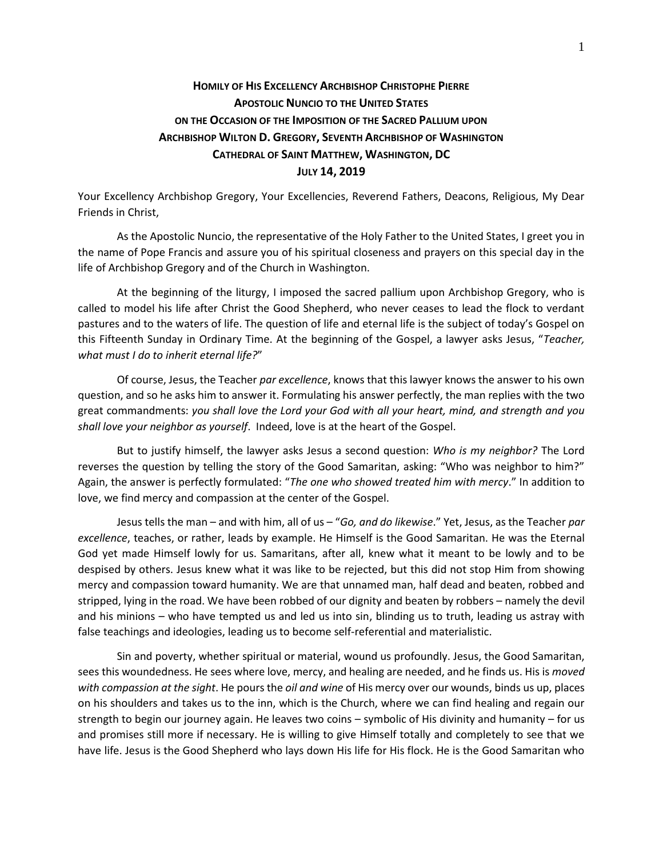## **HOMILY OF HIS EXCELLENCY ARCHBISHOP CHRISTOPHE PIERRE APOSTOLIC NUNCIO TO THE UNITED STATES ON THE OCCASION OF THE IMPOSITION OF THE SACRED PALLIUM UPON ARCHBISHOP WILTON D. GREGORY, SEVENTH ARCHBISHOP OF WASHINGTON CATHEDRAL OF SAINT MATTHEW, WASHINGTON, DC JULY 14, 2019**

Your Excellency Archbishop Gregory, Your Excellencies, Reverend Fathers, Deacons, Religious, My Dear Friends in Christ,

As the Apostolic Nuncio, the representative of the Holy Father to the United States, I greet you in the name of Pope Francis and assure you of his spiritual closeness and prayers on this special day in the life of Archbishop Gregory and of the Church in Washington.

At the beginning of the liturgy, I imposed the sacred pallium upon Archbishop Gregory, who is called to model his life after Christ the Good Shepherd, who never ceases to lead the flock to verdant pastures and to the waters of life. The question of life and eternal life is the subject of today's Gospel on this Fifteenth Sunday in Ordinary Time. At the beginning of the Gospel, a lawyer asks Jesus, "*Teacher, what must I do to inherit eternal life?*"

Of course, Jesus, the Teacher *par excellence*, knows that this lawyer knows the answer to his own question, and so he asks him to answer it. Formulating his answer perfectly, the man replies with the two great commandments: *you shall love the Lord your God with all your heart, mind, and strength and you shall love your neighbor as yourself*. Indeed, love is at the heart of the Gospel.

But to justify himself, the lawyer asks Jesus a second question: *Who is my neighbor?* The Lord reverses the question by telling the story of the Good Samaritan, asking: "Who was neighbor to him?" Again, the answer is perfectly formulated: "*The one who showed treated him with mercy*." In addition to love, we find mercy and compassion at the center of the Gospel.

Jesus tells the man – and with him, all of us – "*Go, and do likewise*." Yet, Jesus, as the Teacher *par excellence*, teaches, or rather, leads by example. He Himself is the Good Samaritan. He was the Eternal God yet made Himself lowly for us. Samaritans, after all, knew what it meant to be lowly and to be despised by others. Jesus knew what it was like to be rejected, but this did not stop Him from showing mercy and compassion toward humanity. We are that unnamed man, half dead and beaten, robbed and stripped, lying in the road. We have been robbed of our dignity and beaten by robbers – namely the devil and his minions – who have tempted us and led us into sin, blinding us to truth, leading us astray with false teachings and ideologies, leading us to become self-referential and materialistic.

Sin and poverty, whether spiritual or material, wound us profoundly. Jesus, the Good Samaritan, sees this woundedness. He sees where love, mercy, and healing are needed, and he finds us. His is *moved with compassion at the sight*. He pours the *oil and wine* of His mercy over our wounds, binds us up, places on his shoulders and takes us to the inn, which is the Church, where we can find healing and regain our strength to begin our journey again. He leaves two coins – symbolic of His divinity and humanity – for us and promises still more if necessary. He is willing to give Himself totally and completely to see that we have life. Jesus is the Good Shepherd who lays down His life for His flock. He is the Good Samaritan who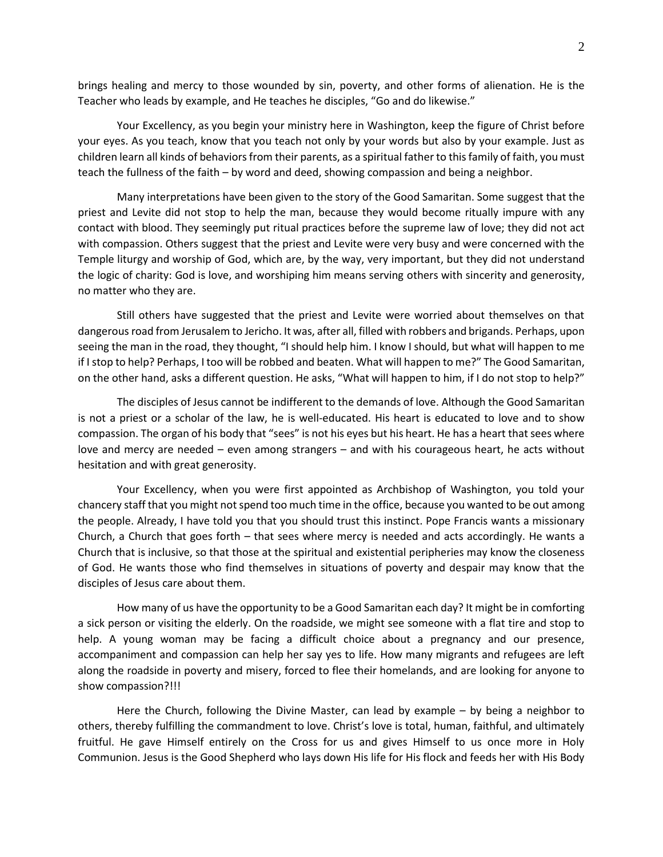brings healing and mercy to those wounded by sin, poverty, and other forms of alienation. He is the Teacher who leads by example, and He teaches he disciples, "Go and do likewise."

Your Excellency, as you begin your ministry here in Washington, keep the figure of Christ before your eyes. As you teach, know that you teach not only by your words but also by your example. Just as children learn all kinds of behaviors from their parents, as a spiritual father to this family of faith, you must teach the fullness of the faith – by word and deed, showing compassion and being a neighbor.

Many interpretations have been given to the story of the Good Samaritan. Some suggest that the priest and Levite did not stop to help the man, because they would become ritually impure with any contact with blood. They seemingly put ritual practices before the supreme law of love; they did not act with compassion. Others suggest that the priest and Levite were very busy and were concerned with the Temple liturgy and worship of God, which are, by the way, very important, but they did not understand the logic of charity: God is love, and worshiping him means serving others with sincerity and generosity, no matter who they are.

Still others have suggested that the priest and Levite were worried about themselves on that dangerous road from Jerusalem to Jericho. It was, after all, filled with robbers and brigands. Perhaps, upon seeing the man in the road, they thought, "I should help him. I know I should, but what will happen to me if I stop to help? Perhaps, I too will be robbed and beaten. What will happen to me?" The Good Samaritan, on the other hand, asks a different question. He asks, "What will happen to him, if I do not stop to help?"

The disciples of Jesus cannot be indifferent to the demands of love. Although the Good Samaritan is not a priest or a scholar of the law, he is well-educated. His heart is educated to love and to show compassion. The organ of his body that "sees" is not his eyes but his heart. He has a heart that sees where love and mercy are needed – even among strangers – and with his courageous heart, he acts without hesitation and with great generosity.

Your Excellency, when you were first appointed as Archbishop of Washington, you told your chancery staff that you might not spend too much time in the office, because you wanted to be out among the people. Already, I have told you that you should trust this instinct. Pope Francis wants a missionary Church, a Church that goes forth – that sees where mercy is needed and acts accordingly. He wants a Church that is inclusive, so that those at the spiritual and existential peripheries may know the closeness of God. He wants those who find themselves in situations of poverty and despair may know that the disciples of Jesus care about them.

How many of us have the opportunity to be a Good Samaritan each day? It might be in comforting a sick person or visiting the elderly. On the roadside, we might see someone with a flat tire and stop to help. A young woman may be facing a difficult choice about a pregnancy and our presence, accompaniment and compassion can help her say yes to life. How many migrants and refugees are left along the roadside in poverty and misery, forced to flee their homelands, and are looking for anyone to show compassion?!!!

Here the Church, following the Divine Master, can lead by example – by being a neighbor to others, thereby fulfilling the commandment to love. Christ's love is total, human, faithful, and ultimately fruitful. He gave Himself entirely on the Cross for us and gives Himself to us once more in Holy Communion. Jesus is the Good Shepherd who lays down His life for His flock and feeds her with His Body